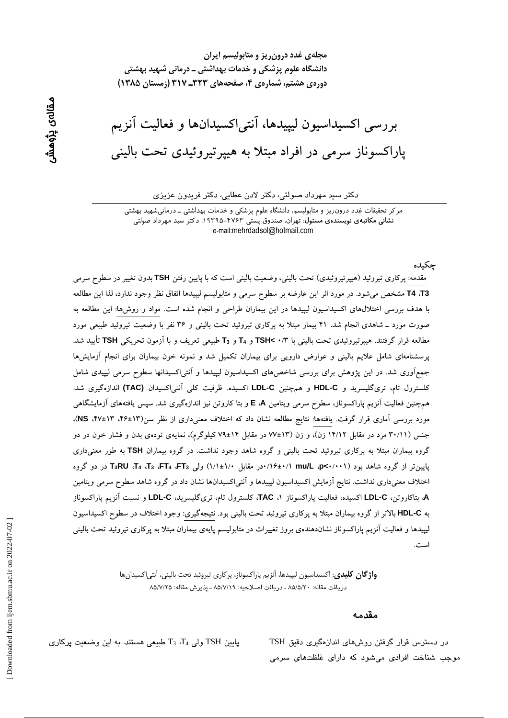مجلهی غدد درون ریز و متابولیسم ایران دانشگاه علوم پزشکی و خدمات بهداشتی ــ درمانی شهید بهشتی دوره ی هشتم، شماره ی ۴، صفحههای ۳۲۳ـ ۳۱۷ (زمستان ۱۳۸۵)

بررسی اکسیداسیون لیپیدها، آنتی|کسیدانها و فعالیت آنزیم پاراکسوناز سرمی در افراد مبتلا به هییر تیروئیدی تحت بالینی

#### دکتر سید مهرداد صولتی، دکتر لادن عطایی، دکتر فریدون عزیزی

مرکز تحقیقات غدد درون٫یز و متابولیسم، دانشگاه علوم پزشکی و خدمات بهداشتی ــ درمانیشهید بهشتی نشانی مکاتبهی نویسندهی مسئول: تهران، صندوق پستی ۴۷۶۳-۱۹۳۹۵، دکتر سید مهرداد صولتی e-mail:mehrdadsol@hotmail.com

مقدمه: پرکاری تیروئید (هیپرتیروئیدی) تحت بالینی، وضعیت بالینی است که با پایین رفتن TSH بدون تغییر در سطوح سرمی T4 ،T3 مشخص میشود. در مورد اثر این عارضه بر سطوح سرمی و متابولیسم لیپیدها اتفاق نظر وجود ندارد، لذا این مطالعه با هدف بررسی اختلالهای اکسیداسیون لیپیدها در این بیماران طراحی و انجام شده است. مواد و روشها: این مطالعه به صورت مورد ـ شاهدی انجام شد. ۴۱ بیمار مبتلا به پرکاری تیروئید تحت بالینی و ۳۶ نفر با وضعیت تیروئید طبیعی مورد مطالعه قرار گرفتند. هیپرتیروئیدی تحت بالینی با ۲/ ۲ TSH و T<sub>4</sub> و T<sub>3</sub> طبیعی تعریف و با آزمون تحریکی TSH تأیید شد. پرسشنامهای شامل علایم بالینی و عوارض دارویی برای بیماران تکمیل شد و نمونه خون بیماران برای انجام آزمایشها جمعآوری شد. در این پژوهش برای بررسی شاخصهای اکسیداسیون لیپیدها و آنتی|کسیدانها سطوح سرمی لیپیدی شامل كلسترول تام، ترى گليسريد و HDL-C و همچنين LDL-C اكسيده. ظرفيت كلي آنتي اكسيدان (TAC) اندازهگيرى شد. همچنین فعالیت آنزیم پاراکسوناز، سطوح سرمی ویتامین E ،A و بتا کاروتن نیز اندازهگیری شد. سپس یافتههای آزمایشگاهی مورد بررسی آماری قرار گرفت. یافتهها: نتایج مطالعه نشان داد که اختلاف معنیداری از نظر سن(۱۳±۴۶، ۱۳+۴۷، NS)، جنس (۳۰/۱۱ مرد در مقابل ۱۴/۱۲ زن)، و زن (۱۳±۷۷ در مقابل ۱۴±۷۹ کیلوگرم)، نمایهی تودهی بدن و فشار خون در دو گروه بیماران مبتلا به پرکاری تیروئید تحت بالینی و گروه شاهد وجود نداشت. در گروه بیماران TSH به طور معنی داری یایین تر از گروه شاهد بود (۰۰۱/۰+۳۵ ap<۱/۰۰۱/ ۰۰در مقابل ۱/۰±۱/۱) ولی T<sub>3</sub>، FT4، T3، FT4، T3، FT4، T3، ور دو گروه اختلاف معنیداری نداشت. نتایج آزمایش اکسیداسیون لیپیدها و آنتی|کسیدانها نشان داد در گروه شاهد سطوح سرمی ویتامین A، بتاکاروتن، LDL-C اکسیده، فعالیت پاراکسوناز TAC ، کلسترول تام، تریگلیسرید، LDL-C و نسبت آنزیم پاراکسوناز به HDL-C بالاتر از گروه بیماران مبتلا به پرکاری تیروئید تحت بالینی بود. نتیجهگیری: وجود اختلاف در سطوح اکسیداسیون لیپیدها و فعالیت آنزیم پاراکسوناز نشاندهندهی بروز تغییرات در متابولیسم پایهی بیماران مبتلا به پرکاری تیروئید تحت بالینی

> **واژگان كليدي**: اكسيداسيون ليپيدها، آنزيم پاراكسوناز، پر كاري تيروئيد تحت باليني، آنتي|كسيدانها دريافت مقاله: ٨٥/٥/٢٠ ـ دريافت اصلاحيه: ٨٥/٧/١٩ ـ پذيرش مقاله: ٨٥/٧/٢٥

#### مقدمه

حكىدە

در دسترس قرار گرفتن روشهای اندازهگیری دقیق TSH موجب شناخت افرادی میشود که دارای غلظتهای سرمی

پایین TSH ولی  $T_3$ ،  $T_4$  طبیعی هستند. به این وضعیت پرکاری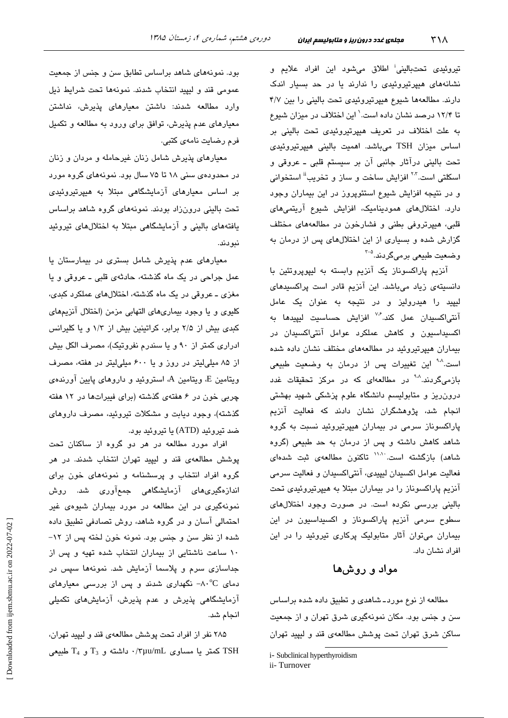تیروئی*دی* تحتبالینی<sup>:</sup> اطلاق میشود این افراد علایم و نشانههای هیپرتیروئیدی را ندارند یا در حد بسیار اندک دارند. مطالعهها شیوع هیپرتیروئیدی تحت بالینی را بین ۴/۷ تا ۱۲/۴ درصد نشان داده است.' این اختلاف در میزان شیوع به علت اختلاف در تعریف هیپرتیروئیدی تحت بالینی بر اساس میزان TSH میباشد. اهمیت بالینی هیپرتیروئیدی تحت بالینی درآثار جانبی آن بر سیستم قلبی ـ عروقی و اسکلتی است.<sup>۲۰۲</sup> افزایش ساخت و ساز و تخریب<sup>ة</sup> استخوانی و در نتیجه افزایش شیوع استئوپروز در این بیماران وجود دارد. اختلالهای همودینامیک، افزایش شیوع آریتمیهای قلبی، هیپرتروفی بطنی و فشارخون در مطالعههای مختلف گزارش شده و بسیاری از این اختلالهای پس از درمان به وضعيت طبيعي برميگردند.<sup>4-۲</sup>

آنزیم پاراکسوناز یک آنزیم وابسته به لیپوپروتئین با دانسیتهی زیاد میباشد. این آنزیم قادر است پراکسیدهای لیپید را هیدرولیز و در نتیجه به عنوان یک عامل آنتی/کسیدان عمل کند.<sup>۷٫۶</sup> افزایش حساسیت لیپید*ه*ا به اکسیداسیون و کاهش عملکرد عوامل آنتیاکسیدان در بیماران هیپرتیروئید در مطالعههای مختلف نشان داده شده است.<sup>۹۰۸</sup> این تغییرات پس از درمان به وضعیت طبی*عی* بازمیگردند.<sup>۹۰۸</sup> در مطالعهای که در مرکز تحقیقات غدد درون ریز و متابولیسم دانشگاه علوم پزشکی شهید بهشتی انجام شد، پژوهشگران نشان دادند که فعالیت آنزیم پاراکسوناز سرمی در بیماران هیپرتیروئید نسبت به گروه شاهد کاهش داشته و پس از درمان به حد طبیعی (گروه شاهد) بازگشته است<sup>. ۱۱۸</sup>۱ تاکنون مطالعهی ثبت شدهای فعاليت عوامل اكسيدان ليپيدي، آنتياكسيدان و فعاليت سرمي آنزیم پاراکسوناز را در بیماران مبتلا به هیپرتیروئیدی تحت بالینی بررسی نکرده است. در صورت وجود اختلالهای سطوح سرمی آنزیم پاراکسوناز و اکسیداسیون در این بیماران میتوان آثار متابولیک پرکاری تیروئید را در این افراد نشان داد.

## مواد و روشها

مطالعه از نوع موردـ شاهدي و تطبيق داده شده براساس سن و جنس بود. مکان نمونهگیری شرق تهران و از جمعیت ساکن شرق تهران تحت پوشش مطالعهی قند و لیپید تهران

بود. نمونههای شاهد براساس تطابق سن و جنس از جمعیت عمومي قند و ليييد انتخاب شدند. نمونهها تحت شرايط ذيل وارد مطالعه شدند: داشتن معیارهای پذیرش، نداشتن معیارهای عدم پذیرش، توافق برای ورود به مطالعه و تکمیل فرم رضايت نامەي كتبي.

معیارهای پذیرش شامل زنان غیرحامله و مردان و زنان در محدودهی سنی ۱۸ تا ۷۵ سال بود. نمونههای گروه مورد بر اساس معیارهای آزمایشگاهی مبتلا به هبیرتیروئیدی تحت بالینی درونزاد بودند. نمونههای گروه شاهد براساس یافتههای بالینی و آزمایشگاهی مبتلا به اختلالهای تیروئید نبو دند.

معیارهای عدم پذیرش شامل بستری در بیمارستان یا عمل جراحي در يک ماه گذشته، حادثهي قلبي ــ عروقي و يا مغزی ــ عروقی در یک ماه گذشته، اختلالهای عملکرد کبدی، كليوى و يا وجود بيمارىهاى التهابى مزمن (اختلال آنزيمهاى کبدی بیش از ۲/۵ برابر، کراتینین بیش از ۱/۳ و یا کلیرانس ادراری کمتر از ۹۰ و یا سندرم نفروتیک)، مصرف الکل بیش از ۸۵ میلی لیتر در روز و یا ۶۰۰ میلی لیتر در هفته، مصرف ویتامین E، ویتامین A، استروئید و داروهای پایین آورندهی چربی خون در ۶ هفتهی گذشته (برای فیبراتها در ۱۲ هفته گذشته)، وجود دیابت و مشکلات تیروئید، مصرف داروهای ضد تيروئيد (ATD) يا تيروئيد بود.

افراد مورد مطالعه در هر دو گروه از ساکنان تحت پوشش مطالعهی قند و لیپید تهران انتخاب شدند. در هر گروه افراد انتخاب و پرسشنامه و نمونههای خون برای اندازەگىرى،ھاى آزمايشگاھى جمعآورى شد. روش نمونهگیری در این مطالعه در مورد بیماران شیوهی غیر احتمالی آسان و در گروه شاهد، روش تصادفی تطبیق داده شده از نظر سن و جنس بود. نمونه خون لخته پس از ١٢-١٠ ساعت ناشتايى از بيماران انتخاب شده تهيه و پس از جداسازی سرم و پلاسما آزمایش شد. نمونهها سپس در دمای A۰ $^{\circ}$ C نگهداری شدند و پس از بررسی معیارهای آزمایشگاهی پذیرش و عدم پذیرش، آزمایشهای تکمیلی انجام شد.

۲۸۵ نفر از افراد تحت پوشش مطالعهی قند و لیپید تهران، کمتر یا مساوی πμu/mL داشته و T<sub>3</sub> و T<sub>4</sub> طبیعی C<sub>4</sub>

i- Subclinical hyperthyroidism

ii-Turnover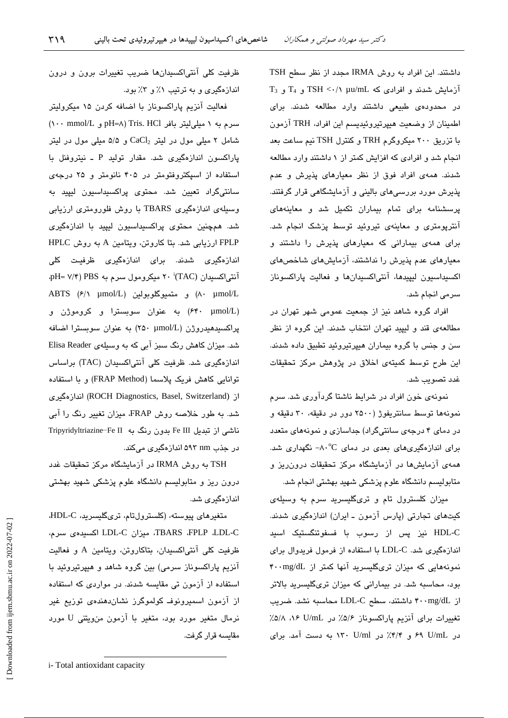داشتند. این افراد به روش IRMA مجدد از نظر سطح TSH  $T_3$  آزمایش شدند و افرادی که TSH <  $\cdot$ /۱ µu/mL و  $T_4$  و آ در محدودهی طبیعی داشتند وارد مطالعه شدند. برای اطمينان از وضعيت هيپرتيروئيديسم اين افراد، TRH آزمون با تزریق ۲۰۰ میکروگرم TRH و کنترل TSH نیم ساعت بعد انجام شد و افرادی که افزایش کمتر از ۱ داشتند وارد مطالعه شدند. همهی افراد فوق از نظر معیارهای پذیرش و عدم پذیرش مورد بررسی های بالینی و آزمایشگاهی قرار گرفتند. پرسشنامه برای تمام بیماران تکمیل شد و معاینههای آنترپومتری و معاینهی تیروئید توسط پزشک انجام شد. برای همهی بیمارانی که معیارهای پذیرش را داشتند و معیارهای عدم پذیرش را نداشتند، آزمایشهای شاخصهای اكسيداسيون ليپيدها، آنتى اكسيدانها و فعاليت پاراكسوناز سرمی انجام شد.

افراد گروه شاهد نیز از جمعیت عمومی شهر تهران در مطالعهی قند و لیپید تهران انتخاب شدند. این گروه از نظر سن و جنس با گروه بیماران هیپرتیروئید تطبیق داده شدند. این طرح توسط کمیتهی اخلاق در پژوهش مرکز تحقیقات غدد تصويب شد.

نمونهی خون افراد در شرایط ناشتا گردآوری شد. سرم نمونهها توسط سانتریفوژ (۲۵۰۰ دور در دقیقه، ۳۰ دقیقه و در دمای ۴ درجهی سانتیگراد) جداسازی و نمونههای متعدد برای اندازهگیریهای بعدی در دمای C^۰- نگهداری شد. همهی آزمایشها در آزمایشگاه مرکز تحقیقات درون ریز و متابولیسم دانشگاه علوم پزشکی شهید بهشتی انجام شد.

میزان کلسترول تام و تریگلیسرید سرم به وسیلهی کیتھای تجارتی (پارس آزمون ـ ایران) اندازہگیری شدند. HDL-C نیز پس از رسوب با فسفوتنگستیک اسید اندازهگیری شد. LDL-C با استفاده از فرمول فریدوال برای نمونههایی که میزان تریگلیسرید آنها کمتر از f..mg/dL بود، محاسبه شد. در بیمارانی که میزان تریگلیسرید بالاتر از ۴۰۰mg/dL داشتند، سطح LDL-C محاسبه نشد. ضریب تغییرات برای آنزیم پاراکسوناز ۵/۶٪ در U/mL ۸۶ ۵/۸٪ در U/mL ۶۹ و ۴/۴٪ در ۱۳۰ U/ml به دست آمد. برای

ظرفیت کلی آنتی|کسیدانها ضریب تغییرات برون و درون اندازهگیری و به ترتیب ۱٪ و ۳٪ بود.

فعالیت آنزیم پاراکسوناز با اضافه کردن ۱۵ میکرولیتر  $(\cdots \text{ mmol/L } _{\varrho})$  pH=A) Tris. HCl و pH=A) شامل ۲ میلی مول در لیتر CaCl2 و ۵/۵ میلی مول در لیتر پاراکسون اندازهگیری شد. مقدار تولید P ـ نیتروفنل با استفاده از اسپکتروفتومتر در ۴۰۵ نانومتر و ۲۵ درجهی سانتی،گراد تعیین شد. محتوی پراکسیداسیون لیپید به وسیلهی اندازهگیری TBARS با روش فلورومتری ارزیابی شد. همچنین محتوی پراکسیداسیون لیپید با اندازهگیری FPLP ارزیابی شد. بتا کاروتن، ویتامین A به روش HPLC اندازهگیری شدند. برای اندازهگیری ظرفیت کلی PH= V/۴) PBS سيکرومول سرم به PBS (۲۰ i(TAC) ABTS (۶/۱ μmol/L) و متميوگلوبولين (ABTS (۶/۱ μmol/L (۶۴۰ µmol/L) به عنوان سوبسترا و كروموژن و پراکسیدهیدروژن (۲۵۰ µmol/L) به عنوان سوبسترا اضافه شد. میزان کاهش رنگ سبز آبی که به وسیلهی Elisa Reader اندازهگیری شد. ظرفیت کلی آنتیاکسیدان (TAC) براساس توانامی کاهش فریک پلاسما (FRAP Method) و با استفاده از (ROCH Diagnostics, Basel, Switzerland) اندازهگیری شد. به طور خلاصه روش FRAP، میزان تغییر رنگ را آبی ناشی از تبدیل Fe III بدون رنگ به Tripyridyltriazine Fe II در جذب nm ۵۹۳ اندازهگیری میکند.

TSH به روش IRMA در آزمایشگاه مرکز تحقیقات غدد درون ریز و متابولیسم دانشگاه علوم پزشکی شهید بهشتی اندازەگىرى شد.

ەتغىرھاي پيوستە، (كلسترولتام، ترىگليسريد، HDL-C، TBARS ،FPLP ،LDL-C، ميزان LDL-C اكسيدهى سرم، ظرفیت کلی آنتی|کسیدان، بتاکاروتن، ویتامین A و فعالیت آنزیم پاراکسوناز سرمی) بین گروه شاهد و هیپرتیروئید با استفاده از آزمون تی مقایسه شدند. در مواردی که استفاده از آزمون اسمیرونوف کولموگرز نشاندهندهی توزیع غیر نرمال متغیر مورد بود، متغیر با آزمون منویتنی U مورد مقاسىه قرار گرفت.

i-Total antioxidant capacity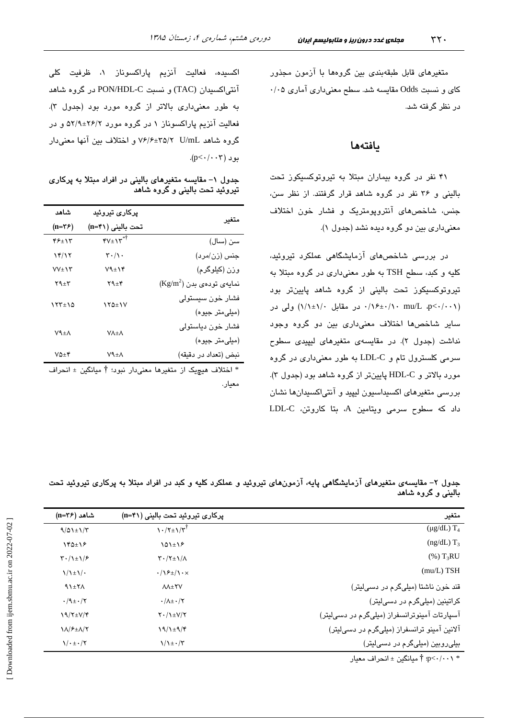متغیرهای قابل طبقهبندی بین گروهها با آزمون مجذور کای و نسبت Odds مقایسه شد. سطح معنیداری آماری ۰/۰۵ در نظر گرفته شد.

### بافتهها

۴۱ نفر در گروه بیماران مبتلا به تیروتوکسیکوز تحت بالینی و ۳۶ نفر در گروه شاهد قرار گرفتند. از نظر سن، جنس، شاخصهای آنتروپومتریک و فشار خون اختلاف معنیداری بین دو گروه دیده نشد (جدول ۱).

در بررسی شاخصهای آزمایشگاهی عملکرد تیروئید، کلیه و کبد، سطح TSH به طور معنیداری در گروه مبتلا به تیروتوکسیکوز تحت بالینی از گروه شاهد پایینتر بود (۰٫۱۰+/۱۰ mu/L .p<۰/۰۰ در مقابل ۱/۱±۱/۱) ولی در سایر شاخصها اختلاف معنیداری بین دو گروه وجود نداشت (جدول ۲). در مقایسهی متغیرهای لیپیدی سطوح سرمی کلسترول تام و LDL-C به طور معنیداری در گروه مورد بالاتر و HDL-C پایینتر از گروه شاهد بود (جدول ۳). بررسی متغیرهای اکسیداسیون لیپید و آنتیاکسیدانها نشان داد که سطوح سرمی ویتامین A، بتا کاروتن، LDL-C

اکسیده، فعالیت آنزیم پاراکسوناز ۱، ظرفیت کلی آنتی|کسیدان (TAC) و نسبت PON/HDL-C در گروه شاهد به طور معنى دارى بالاتر از گروه مورد بود (جدول ٣). فعالیت آنزیم پاراکسوناز ۱ در گروه مورد ۲۶/۲±۵۲/۹ و در گروه شاهد U/mL 7\72+8/8 و اختلاف بين آنها معنى دار  $(p<\cdot/\cdot\cdot\tau)$ بو د

جدول ۱– مقایسه متغیرهای بالینی در افراد مبتلا به پرکاری تیروئید تحت بالینی و گروه شاهد

| شاهد          | یرکار <i>ی</i> تیروئی <i>د</i>           |                                    |
|---------------|------------------------------------------|------------------------------------|
| $(n=\tau)$    | تحت باليني (n=۴۱)                        | متغير                              |
| ۴۶±۱۳         | $\mathbf{y} \mathbf{y} \pm \mathbf{y}^*$ | سن (سال)                           |
| ۱۴/۱۲         | $\mathbf{r} \cdot / \mathbf{v}$ .        | جنس (زن/مرد)                       |
| $VV + VY$     | $V$ ۹ $\pm$ ۱۴                           | وزن (کیلوگرم)                      |
| ۲۹±۳          | $Y4 \pm Y$                               | $(\text{Kg/m}^2)$ نمایهی تودهی بدن |
| 177±10        | ۱۲۵±۱۷                                   | فشار خون سيستولى                   |
|               |                                          | (میلی متر جیوه)                    |
| ۷٩±٨          | <b>VA±A</b>                              | فشار خون دياستولى                  |
|               |                                          | (میلی متر جیوه)                    |
| $V\Delta + V$ | ۷٩±٨                                     | نبض (تعداد در دقيقه)               |
|               |                                          |                                    |

\* اختلاف هیچیک از متغیرها معنیدار نبود؛ † میانگین ± انحراف معيار.

جدول ۲– مقایسهی متغیرهای آزمایشگاهی پایه، آزمونهای تیروئید و عملکرد کلیه و کبد در افراد مبتلا به پرکاری تیروئید تحت بالینی و گروه شاهد

| متغير                                        | پرکاری تیروئید تحت بالینی (n=۴۱)                                 | شاهد (n=۳۶)                             |
|----------------------------------------------|------------------------------------------------------------------|-----------------------------------------|
| $(\mu g/dL)$ T <sub>4</sub>                  | $\frac{1}{\sqrt{7}}$                                             | $9/01 \pm 1/7$                          |
| $(ng/dL)$ T <sub>3</sub>                     | $101 \pm 12$                                                     | $Y^{\beta}$                             |
| $(\%)$ T <sub>3</sub> RU                     | $\Upsilon \cdot / \Upsilon \pm \Upsilon / \Lambda$               | $\mathcal{F} \cdot / \mathcal{F}$       |
| $(mu/L)$ TSH                                 | $\cdot/\sqrt{2\pm}/\sqrt{2\cdot} \times$                         | $\frac{1}{2}$                           |
| قند خون ناشتا (میلیگرم در دسیلیتر)           | <b>AA±YV</b>                                                     | 91±7                                    |
| کراتینین (میلیگرم در دسیلیتر)                | $\cdot/\lambda$ $\pm \cdot/\tau$                                 | $\cdot$ /9± $\cdot$ /۲                  |
| آسپارتات آمینوترانسفراز (میلیگرم در دسیلیتر) | $Y \cdot / \lambda \pm V/Y$                                      | $19/7\pm V/f$                           |
| آلانین آمینو ترانسفراز (میلیگرم در دسیلیتر)  | $19/1 \pm 9/9$                                                   | <b><i>IN/۶±N/Y</i></b>                  |
| بیلی روبین (میلیگرم در دسیلیتر)              | $\frac{1}{\sqrt{\frac{1}{2}}}\cdot \frac{1}{\sqrt{\frac{1}{2}}}$ | $\sqrt{\cdot}$ $\pm \cdot$ / $\sqrt{ }$ |
|                                              |                                                                  |                                         |

- p<- $\cdot$ / $\cdot\cdot\cdot\cdot$  ثميانگين ± انحراف معيار $\overline{\uparrow}$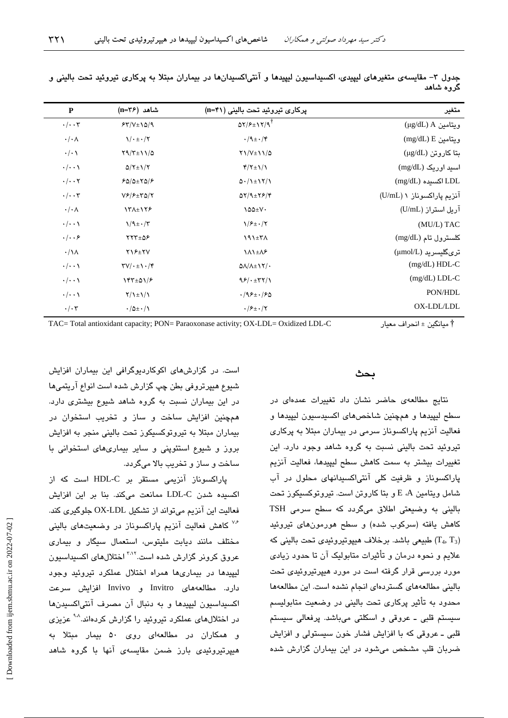| $\mathbf{P}$           | شاهد (n=۳۶)                                      | پرکاری تیروئید تحت بالینی (n=۴۱)                                  | متغير                     |
|------------------------|--------------------------------------------------|-------------------------------------------------------------------|---------------------------|
| $\cdot/\cdot\cdot$ ۳   | $54/V \pm 10/9$                                  | $\Delta Y/F \pm Y/Y/\mathcal{A}^{\dagger}$                        | (ug/dL) A ريتامين         |
| $\cdot/\cdot$ $\wedge$ | $\sqrt{\cdot}$ $\pm \cdot$ / $\sqrt{ }$          | $\cdot$ /9 $\pm \cdot$ /۴                                         | $(mg/dL) E$ ويتامين E     |
| $\cdot/\cdot \wedge$   | $Y9/Y \pm 11/\Delta$                             | $Y\1/V \pm 1\1/\Delta$                                            | بتا كاروتن (μg/dL)        |
| $\cdot/\cdot\cdot$     | $Q/Y \pm 1/Y$                                    | $\frac{f}{\tau + 1}$                                              | اسید اوریک (mg/dL)        |
| $\cdot/\cdot\cdot$ ۲   | $FQ/\Delta \pm YQ/F$                             | $\Delta$ $\cdot$ / $\lambda$ $\pm$ $\lambda$ $\gamma$ / $\lambda$ | $(mg/dL)$ اکسیده $LDL$    |
| $\cdot/\cdot\cdot$ ۳   | $V$ ۶/۶ $\pm$ ۳۵/۲                               | $QY/9=Y9/4$                                                       | آنزیم پاراکسوناز ۱ (U/mL) |
| $\cdot/\cdot \wedge$   | 131±178                                          | $\lambda \Delta \Delta \pm V$                                     | آریل استراز (U/mL)        |
| $\cdot/\cdot\cdot$     | $\frac{1}{4} \cdot \frac{\pi}{4}$                | $1/F_{\pm}$ ./۲                                                   | (MU/L) TAC                |
| $\cdot/\cdot\cdot$ ۶   | $YY^{\pm} \Delta F$                              | 191±۳A                                                            | كلسترول تام (mg/dL)       |
| $\cdot/\lambda$        | $YY+YY$                                          | <b>111±18</b>                                                     | ترىگليسريد (µmol/L)       |
| $\cdot/\cdot\cdot$     | $\Upsilon V/\cdot \pm \Upsilon \cdot / \Upsilon$ | $\Delta\Lambda/\Lambda \pm 17/$                                   | $(mg/dL) HDL-C$           |
| $\cdot/\cdot\cdot$     | $Yf^{\mu}$                                       | 95/1577/1                                                         | $(mg/dL)$ LDL-C           |
| $\cdot/\cdot\cdot$     | $Y/\lambda \pm \lambda/\lambda$                  | $.795 \pm .750$                                                   | PON/HDL                   |
| $\cdot/\cdot7$         | $\cdot/\Delta \pm \cdot/\Lambda$                 | $\cdot$ / $\mathcal{F}$ + $\cdot$ /۲                              | OX-LDL/LDL                |

جدول ۳– مقایسهی متغیرهای لیپیدی، اکسیداسیون لیپیدها و آنتی!کسیدانها در بیماران مبتلا به پرکاری تیروئید تحت بالینی و گروه شاهد

TAC= Total antioxidant capacity; PON= Paraoxonase activity; OX-LDL= Oxidized LDL-C 1 8 ;7A%7 ± @% †

#### بحث

.<br>نتایج مطالعهی حاضر نشان داد تغییرات عمدهای در سطح ليبيدها و هجچنين شاخص هاي اکسيدسيون ليبيدها و فعالیت آنزیم پاراکسوناز سرمی در بیماران مبتلا به پرکاری .<br>تیروئید تحت پالینی نسبت به گروه شاهد وجود دارد. این تغییرات بیشتر به سمت کاهش سطح لبیدها، فعالیت آنزیم پاراکسوناز و ظرفیت کلی آنتیاکسیدانهای محلول در آب شامل ويتامين E ،A و بتا كاروتن است. تيروتوكسبكوز تحت ۔<br>باللئے یه وضیعتی اطلاق مےگردد که سطح سرمی TSH کاهش بافته (سرکوب شده) و سطح هورمونهای تیروئید طبیعی باشد. برخلاف هیپوتیروئیدی تحت بالینی که  $(T_4, T_3)$ علايم و نجوه درمان و تأثيرات متابوليک آن تا جدود زيادي مورد پررسی قرار گرفته است در مورد هیپرتیروئیدی تحت بالبني مطالعههاي گستر دواي انجام نشده است. اين مطالعهها محدود به تأثیر پرکاری تحت بالینی در وضعیت متابولیسم سیستم قلبی ــ عروقی و اسکلتی میباشد. پرفعالی سیستم قلس ـ عروقي که يا افزايش فشار خون سيستولي و افزايش ضربان قلب مشخص مے شود در این بیماران گزارش شدہ

است. در گزارش های اکوکاردیوگرافی این بیماران افزایش شبوع هبیر تروفی بطن چپ گزارش شده است انواع آریتم ها در این بیماران نسبت به گروه شاهد شیوع بیشتری دارد. همحنين افزايش ساخت و ساز و تخريب استخوان در بیماران میتلا به تیرو توکسیکو ز تحت بالینی منجر به افزایش بروز و شیوع استئوپنی و سایر بیماریهای استخوانی با ساخت و ساز و تخریب بالا میگردد.

پاراکسوناز آنزیمی مستقر بر HDL-C است که از اکسیده شدن LDL-C ممانعت میکند. بنا بر این افزایش فعاليت اين آنزيم ميتواند از تشكيل OX-LDL جلوگيري كند. <sup>۷۶</sup> کاهش فعالیت آنزیم پاراکسوناز در وضعیتهای بالینی مختلف مانند دبابت ملیتوس، استعمال سیگار و بیماری عروق کرونر گزارش شده است.<sup>۲٬۱۲</sup> اختلالهای اکسیداسیون لسدها در بیماریها همراه اختلال عملکرد تیروئید وجود دارد. مطالعههای Invitro و Invivo افزایش سرعت اكسيداسيون ليبيدها و به دنبال آن مصرف آنتے(كسيدنها در اختلالهای عملکرد تیروئید را گزارش کردهاند.<sup>۹۸</sup> عزیزی و همکاران در مطالعهای روی ۵۰ پیمار میتلا به هیدرتبروئیدی بارز ضمن مقایسهی آنها با گروه شاهد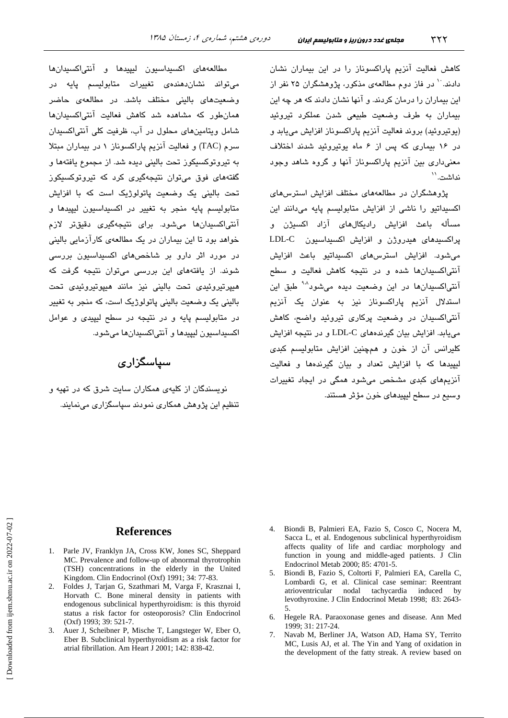کاهش فعالیت آنزیم پاراکسوناز را در این بیماران نشان دادند. `` در فاز دوم مطالعهی مذکور، پژوهشگران ۲۵ نفر از این بیماران را درمان کردند. و آنها نشان دادند که هر چه این بیماران به طرف وضعیت طبیعی شدن عملکرد تیروئید (بوتروئيد) بروند فعاليت آنزيم پاراكسوناز افزايش مى بايد و در ۱۶ بیماری که پس از ۶ ماه یوتیروئید شدند اختلاف معنی داری بین آنزیم پاراکسوناز آنها و گروه شاهد وجود نداشت. ``

پژوهشگران در مطالعههای مختلف افزایش استرسهای اکسیداتیو را ناشی از افزایش متابولیسم پایه میدانند این مسأله باعث افزایش رادیکالهای آزاد اکسیژن و یراکسیدهای هیدروژن و افزایش اکسیداسیون LDL-C میشود. افزایش استرسهای اکسیداتیو باعث افزایش آنتی/کسیدانها شده و در نتیجه کاهش فعالیت و سطح آنتی/کسیدانها در این وضعیت دیده میشود<sup>۹۰۸</sup> طبق این استدلال آنزیم پاراکسوناز نیز به عنوان یک آنزیم آنتیاکسیدان در وضعیت پرکاری تیروئید واضح، کاهش می یابد. افزایش بیان گیرندههای LDL-C و در نتیجه افزایش کلیرانس آن از خون و همچنین افزایش متابولیسم کبدی لیپیدها که با افزایش تعداد و بیان گیرندهها و فعالیت آنزیمهای کبدی مشخص میشود همگی در ایجاد تغییرات وسيع در سطح ليپيدهای خون مؤثر هستند.

مطالعههای اکسیداسیون لیپیدها و آنتی|کسیدانها می تواند نشاندهندهی تغییرات متابولیسم پایه در وضعیتهای بالینی مختلف باشد. در مطالعهی حاضر همانطور که مشاهده شد کاهش فعالیت آنتیاکسیدانها شامل ویتامینهای محلول در آب، ظرفیت کلی آنتی/کسیدان سرم (TAC) و فعاليت آنزيم ياراكسوناز ١ در بيماران مبتلا به تیروتوکسیکوز تحت بالینی دیده شد. از مجموع یافتهها و گفتههای فوق میتوان نتیجهگیری کرد که تیروتوکسیکوز تحت بالینی یک وضعیت پاتولوژیک است که با افزایش متابوليسم پايه منجر به تغيير در اكسيداسيون ليپيد*ه*ا و آنتی|کسیدانها میشود. برای نتیجهگیری دقیقتر لازم خواهد بود تا این بیماران در یک مطالعهی کارآزمایی بالینی در مورد اثر دارو بر شاخصهای اکسیداسیون بررسی شوند. از پافتههای این بررسی میتوان نتیجه گرفت که میپرتیروئی*دی* تحت بالینی نیز مانند هیپوتیروئی*دی* تحت بالینی یک وضعیت بالینی پاتولوژیک است، که منجر به تغمر در متابولسیم یابه و در نتیجه در سطح لبیندی و عوامل اکسیداسیون لیپیدها و آنتیاکسیدانها میشود.

## سياسگزاري

.<br>نویسندگان از کلیه*ی ه*مکاران سایت شرق که در تهیه و تنظیم این پژوهش همکاری نمودند سپاسگزاری می،نمایند.

#### **References**

- 1. Parle JV, Franklyn JA, Cross KW, Jones SC, Sheppard MC. Prevalence and follow-up of abnormal thyrotrophin (TSH) concentrations in the elderly in the United Kingdom. Clin Endocrinol (Oxf) 1991; 34: 77-83.
- 2. Foldes J, Tarjan G, Szathmari M, Varga F, Krasznai I, Horvath C. Bone mineral density in patients with endogenous subclinical hyperthyroidism: is this thyroid status a risk factor for osteoporosis? Clin Endocrinol (Oxf) 1993; 39: 521-7.
- 3. Auer J, Scheibner P, Mische T, Langsteger W, Eber O, Eber B. Subclinical hyperthyroidism as a risk factor for atrial fibrillation. Am Heart J 2001; 142: 838-42.
- 4. Biondi B. Palmieri EA. Fazio S. Cosco C. Nocera M. Sacca L, et al. Endogenous subclinical hyperthyroidism affects quality of life and cardiac morphology and function in young and middle-aged patients. J Clin Endocrinol Metab 2000; 85: 4701-5.
- Biondi B, Fazio S, Coltorti F, Palmieri EA, Carella C,  $\sim$ Lombardi G, et al. Clinical case seminar: Reentrant atrioventricular nodal tachycardia induced  $hv$ levothyroxine. J Clin Endocrinol Metab 1998; 83: 2643-.5
- 6. Hegele RA. Paraoxonase genes and disease. Ann Med 1999: 31: 217-24.
- Navab M, Berliner JA, Watson AD, Hama SY, Territo  $7^{\circ}$ MC, Lusis AJ, et al. The Yin and Yang of oxidation in the development of the fatty streak. A review based on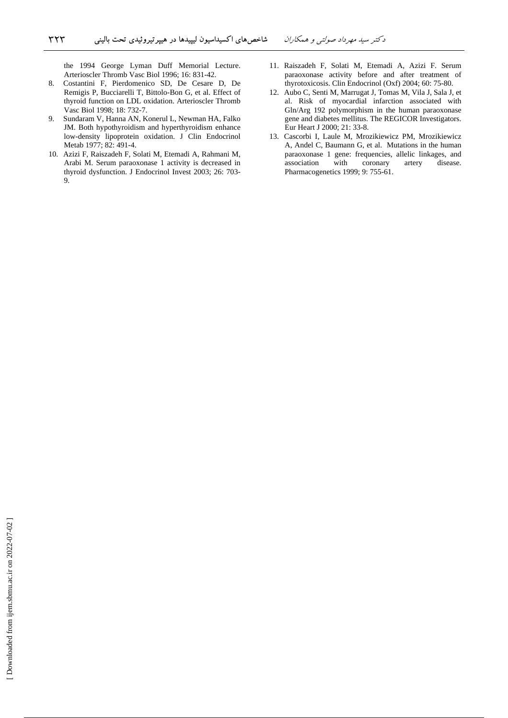the 1994 George Lyman Duff Memorial Lecture. Arterioscler Thromb Vasc Biol 1996; 16: 831-42.

- 8. Costantini F, Pierdomenico SD, De Cesare D, De Remigis P, Bucciarelli T, Bittolo-Bon G, et al. Effect of thyroid function on LDL oxidation. Arterioscler Thromb Vasc Biol 1998; 18: 732-7.
- 9. Sundaram V, Hanna AN, Konerul L, Newman HA, Falko JM. Both hypothyroidism and hyperthyroidism enhance low-density lipoprotein oxidation. J Clin Endocrinol Metab 1977; 82: 491-4.
- 10. Azizi F, Raiszadeh F, Solati M, Etemadi A, Rahmani M, Arabi M. Serum paraoxonase 1 activity is decreased in thyroid dysfunction. J Endocrinol Invest 2003; 26: 703- 9.
- 11. Raiszadeh F, Solati M, Etemadi A, Azizi F. Serum paraoxonase activity before and after treatment of thyrotoxicosis. Clin Endocrinol (Oxf) 2004; 60: 75-80.
- 12. Aubo C, Senti M, Marrugat J, Tomas M, Vila J, Sala J, et al. Risk of myocardial infarction associated with Gln/Arg 192 polymorphism in the human paraoxonase gene and diabetes mellitus. The REGICOR Investigators. Eur Heart J 2000; 21: 33-8.
- 13. Cascorbi I, Laule M, Mrozikiewicz PM, Mrozikiewicz A, Andel C, Baumann G, et al. Mutations in the human paraoxonase 1 gene: frequencies, allelic linkages, and association with coronary artery disease. Pharmacogenetics 1999; 9: 755-61.